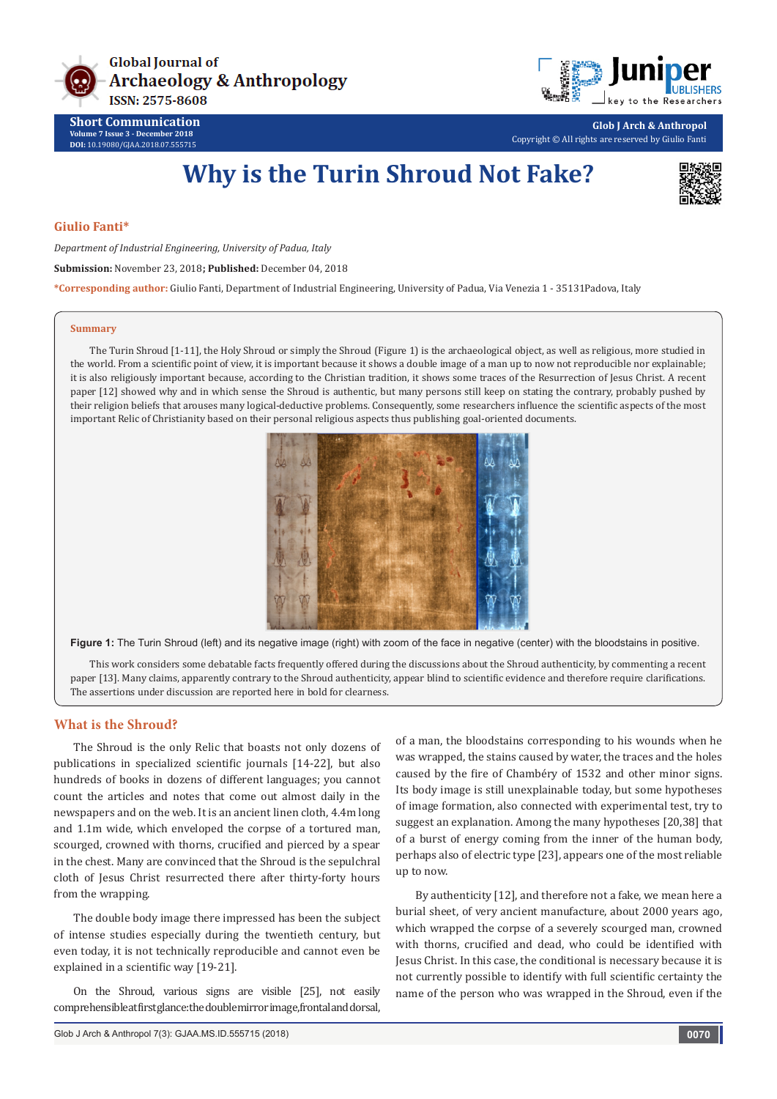



**Short Communication Volume 7 Issue 3 - December 2018 DOI:** [10.19080/GJAA.2018.07.555715](http://dx.doi.org/10.19080/GJAA.2018.07.555715)

**Glob J Arch & Anthropol** Copyright © All rights are reserved by Giulio Fanti

# **Why is the Turin Shroud Not Fake?**



### **Giulio Fanti\***

*Department of Industrial Engineering, University of Padua, Italy* **Submission:** November 23, 2018**; Published:** December 04, 2018

**\*Corresponding author:** Giulio Fanti, Department of Industrial Engineering, University of Padua, Via Venezia 1 - 35131Padova, Italy

#### **Summary**

The Turin Shroud [1-11], the Holy Shroud or simply the Shroud (Figure 1) is the archaeological object, as well as religious, more studied in the world. From a scientific point of view, it is important because it shows a double image of a man up to now not reproducible nor explainable; it is also religiously important because, according to the Christian tradition, it shows some traces of the Resurrection of Jesus Christ. A recent paper [12] showed why and in which sense the Shroud is authentic, but many persons still keep on stating the contrary, probably pushed by their religion beliefs that arouses many logical-deductive problems. Consequently, some researchers influence the scientific aspects of the most important Relic of Christianity based on their personal religious aspects thus publishing goal-oriented documents.



**Figure 1:** The Turin Shroud (left) and its negative image (right) with zoom of the face in negative (center) with the bloodstains in positive.

This work considers some debatable facts frequently offered during the discussions about the Shroud authenticity, by commenting a recent paper [13]. Many claims, apparently contrary to the Shroud authenticity, appear blind to scientific evidence and therefore require clarifications. The assertions under discussion are reported here in bold for clearness.

### **What is the Shroud?**

The Shroud is the only Relic that boasts not only dozens of publications in specialized scientific journals [14-22], but also hundreds of books in dozens of different languages; you cannot count the articles and notes that come out almost daily in the newspapers and on the web. It is an ancient linen cloth, 4.4m long and 1.1m wide, which enveloped the corpse of a tortured man, scourged, crowned with thorns, crucified and pierced by a spear in the chest. Many are convinced that the Shroud is the sepulchral cloth of Jesus Christ resurrected there after thirty-forty hours from the wrapping.

The double body image there impressed has been the subject of intense studies especially during the twentieth century, but even today, it is not technically reproducible and cannot even be explained in a scientific way [19-21].

On the Shroud, various signs are visible [25], not easily comprehensible at first glance: the double mirror image, frontal and dorsal, of a man, the bloodstains corresponding to his wounds when he was wrapped, the stains caused by water, the traces and the holes caused by the fire of Chambéry of 1532 and other minor signs. Its body image is still unexplainable today, but some hypotheses of image formation, also connected with experimental test, try to suggest an explanation. Among the many hypotheses [20,38] that of a burst of energy coming from the inner of the human body, perhaps also of electric type [23], appears one of the most reliable up to now.

By authenticity [12], and therefore not a fake, we mean here a burial sheet, of very ancient manufacture, about 2000 years ago, which wrapped the corpse of a severely scourged man, crowned with thorns, crucified and dead, who could be identified with Jesus Christ. In this case, the conditional is necessary because it is not currently possible to identify with full scientific certainty the name of the person who was wrapped in the Shroud, even if the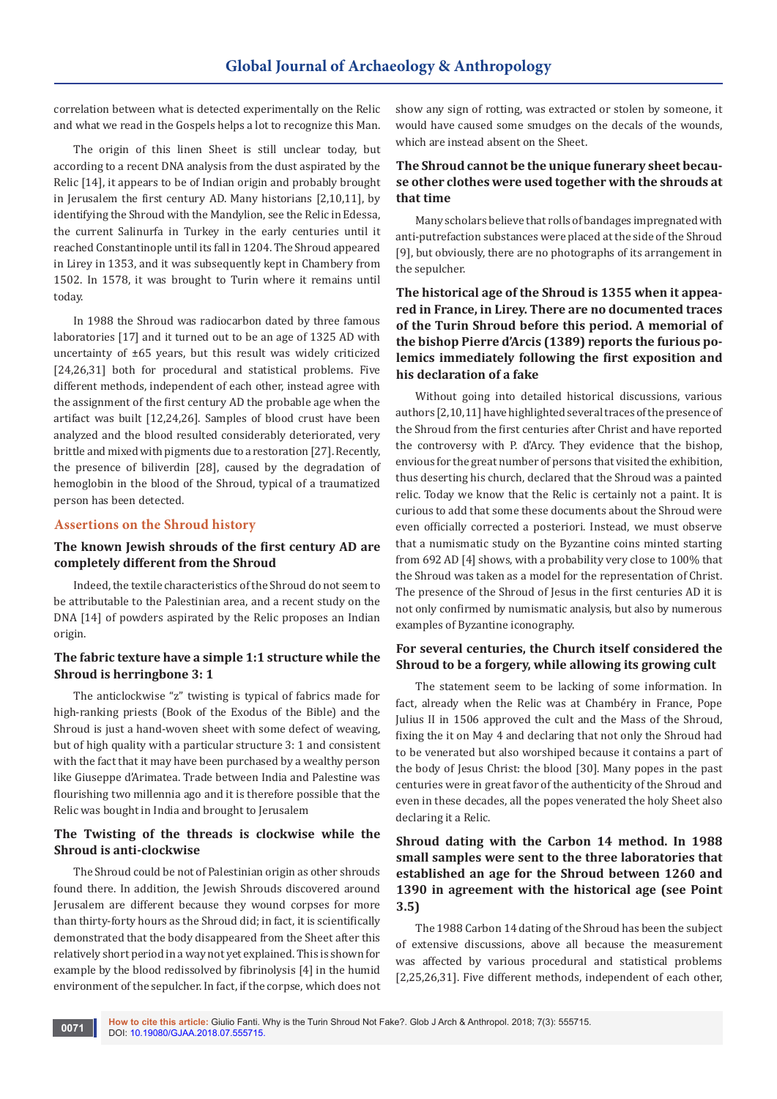correlation between what is detected experimentally on the Relic and what we read in the Gospels helps a lot to recognize this Man.

The origin of this linen Sheet is still unclear today, but according to a recent DNA analysis from the dust aspirated by the Relic [14], it appears to be of Indian origin and probably brought in Jerusalem the first century AD. Many historians [2,10,11], by identifying the Shroud with the Mandylion, see the Relic in Edessa, the current Salinurfa in Turkey in the early centuries until it reached Constantinople until its fall in 1204. The Shroud appeared in Lirey in 1353, and it was subsequently kept in Chambery from 1502. In 1578, it was brought to Turin where it remains until today.

In 1988 the Shroud was radiocarbon dated by three famous laboratories [17] and it turned out to be an age of 1325 AD with uncertainty of ±65 years, but this result was widely criticized [24,26,31] both for procedural and statistical problems. Five different methods, independent of each other, instead agree with the assignment of the first century AD the probable age when the artifact was built [12,24,26]. Samples of blood crust have been analyzed and the blood resulted considerably deteriorated, very brittle and mixed with pigments due to a restoration [27]. Recently, the presence of biliverdin [28], caused by the degradation of hemoglobin in the blood of the Shroud, typical of a traumatized person has been detected.

### **Assertions on the Shroud history**

# **The known Jewish shrouds of the first century AD are completely different from the Shroud**

Indeed, the textile characteristics of the Shroud do not seem to be attributable to the Palestinian area, and a recent study on the DNA [14] of powders aspirated by the Relic proposes an Indian origin.

### **The fabric texture have a simple 1:1 structure while the Shroud is herringbone 3: 1**

The anticlockwise "z" twisting is typical of fabrics made for high-ranking priests (Book of the Exodus of the Bible) and the Shroud is just a hand-woven sheet with some defect of weaving, but of high quality with a particular structure 3: 1 and consistent with the fact that it may have been purchased by a wealthy person like Giuseppe d'Arimatea. Trade between India and Palestine was flourishing two millennia ago and it is therefore possible that the Relic was bought in India and brought to Jerusalem

### **The Twisting of the threads is clockwise while the Shroud is anti-clockwise**

The Shroud could be not of Palestinian origin as other shrouds found there. In addition, the Jewish Shrouds discovered around Jerusalem are different because they wound corpses for more than thirty-forty hours as the Shroud did; in fact, it is scientifically demonstrated that the body disappeared from the Sheet after this relatively short period in a way not yet explained. This is shown for example by the blood redissolved by fibrinolysis [4] in the humid environment of the sepulcher. In fact, if the corpse, which does not

**0071**

show any sign of rotting, was extracted or stolen by someone, it would have caused some smudges on the decals of the wounds, which are instead absent on the Sheet.

# **The Shroud cannot be the unique funerary sheet because other clothes were used together with the shrouds at that time**

Many scholars believe that rolls of bandages impregnated with anti-putrefaction substances were placed at the side of the Shroud [9], but obviously, there are no photographs of its arrangement in the sepulcher.

**The historical age of the Shroud is 1355 when it appeared in France, in Lirey. There are no documented traces of the Turin Shroud before this period. A memorial of the bishop Pierre d'Arcis (1389) reports the furious polemics immediately following the first exposition and his declaration of a fake**

Without going into detailed historical discussions, various authors [2,10,11] have highlighted several traces of the presence of the Shroud from the first centuries after Christ and have reported the controversy with P. d'Arcy. They evidence that the bishop, envious for the great number of persons that visited the exhibition, thus deserting his church, declared that the Shroud was a painted relic. Today we know that the Relic is certainly not a paint. It is curious to add that some these documents about the Shroud were even officially corrected a posteriori. Instead, we must observe that a numismatic study on the Byzantine coins minted starting from 692 AD [4] shows, with a probability very close to 100% that the Shroud was taken as a model for the representation of Christ. The presence of the Shroud of Jesus in the first centuries AD it is not only confirmed by numismatic analysis, but also by numerous examples of Byzantine iconography.

# **For several centuries, the Church itself considered the Shroud to be a forgery, while allowing its growing cult**

The statement seem to be lacking of some information. In fact, already when the Relic was at Chambéry in France, Pope Julius II in 1506 approved the cult and the Mass of the Shroud, fixing the it on May 4 and declaring that not only the Shroud had to be venerated but also worshiped because it contains a part of the body of Jesus Christ: the blood [30]. Many popes in the past centuries were in great favor of the authenticity of the Shroud and even in these decades, all the popes venerated the holy Sheet also declaring it a Relic.

# **Shroud dating with the Carbon 14 method. In 1988 small samples were sent to the three laboratories that established an age for the Shroud between 1260 and 1390 in agreement with the historical age (see Point 3.5)**

The 1988 Carbon 14 dating of the Shroud has been the subject of extensive discussions, above all because the measurement was affected by various procedural and statistical problems [2,25,26,31]. Five different methods, independent of each other,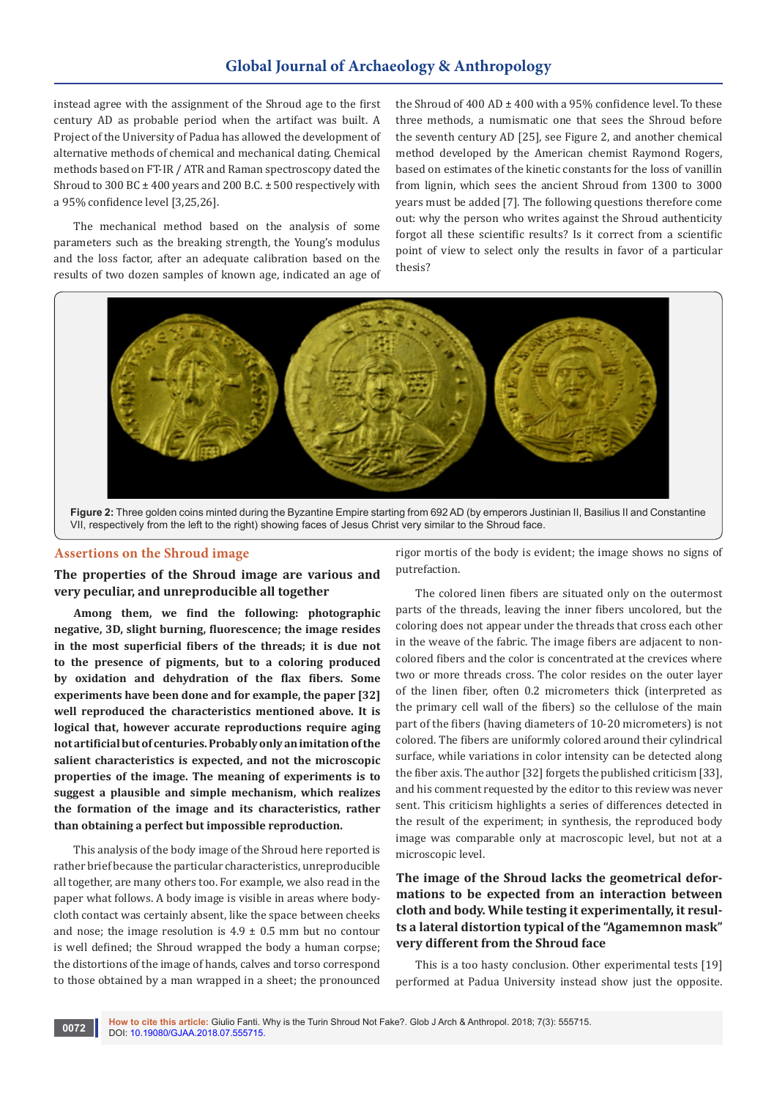# **Global Journal of Archaeology & Anthropology**

instead agree with the assignment of the Shroud age to the first century AD as probable period when the artifact was built. A Project of the University of Padua has allowed the development of alternative methods of chemical and mechanical dating. Chemical methods based on FT-IR / ATR and Raman spectroscopy dated the Shroud to 300 BC  $\pm$  400 years and 200 B.C.  $\pm$  500 respectively with a 95% confidence level [3,25,26].

The mechanical method based on the analysis of some parameters such as the breaking strength, the Young's modulus and the loss factor, after an adequate calibration based on the results of two dozen samples of known age, indicated an age of the Shroud of  $400$  AD  $\pm$   $400$  with a 95% confidence level. To these three methods, a numismatic one that sees the Shroud before the seventh century AD [25], see Figure 2, and another chemical method developed by the American chemist Raymond Rogers, based on estimates of the kinetic constants for the loss of vanillin from lignin, which sees the ancient Shroud from 1300 to 3000 years must be added [7]. The following questions therefore come out: why the person who writes against the Shroud authenticity forgot all these scientific results? Is it correct from a scientific point of view to select only the results in favor of a particular thesis?



**Figure 2:** Three golden coins minted during the Byzantine Empire starting from 692 AD (by emperors Justinian II, Basilius II and Constantine VII, respectively from the left to the right) showing faces of Jesus Christ very similar to the Shroud face.

### **Assertions on the Shroud image**

**The properties of the Shroud image are various and very peculiar, and unreproducible all together** 

**Among them, we find the following: photographic negative, 3D, slight burning, fluorescence; the image resides in the most superficial fibers of the threads; it is due not to the presence of pigments, but to a coloring produced by oxidation and dehydration of the flax fibers. Some experiments have been done and for example, the paper [32] well reproduced the characteristics mentioned above. It is logical that, however accurate reproductions require aging not artificial but of centuries. Probably only an imitation of the salient characteristics is expected, and not the microscopic properties of the image. The meaning of experiments is to suggest a plausible and simple mechanism, which realizes the formation of the image and its characteristics, rather than obtaining a perfect but impossible reproduction.**

This analysis of the body image of the Shroud here reported is rather brief because the particular characteristics, unreproducible all together, are many others too. For example, we also read in the paper what follows. A body image is visible in areas where bodycloth contact was certainly absent, like the space between cheeks and nose; the image resolution is  $4.9 \pm 0.5$  mm but no contour is well defined; the Shroud wrapped the body a human corpse; the distortions of the image of hands, calves and torso correspond to those obtained by a man wrapped in a sheet; the pronounced

rigor mortis of the body is evident; the image shows no signs of putrefaction.

The colored linen fibers are situated only on the outermost parts of the threads, leaving the inner fibers uncolored, but the coloring does not appear under the threads that cross each other in the weave of the fabric. The image fibers are adjacent to noncolored fibers and the color is concentrated at the crevices where two or more threads cross. The color resides on the outer layer of the linen fiber, often 0.2 micrometers thick (interpreted as the primary cell wall of the fibers) so the cellulose of the main part of the fibers (having diameters of 10-20 micrometers) is not colored. The fibers are uniformly colored around their cylindrical surface, while variations in color intensity can be detected along the fiber axis. The author [32] forgets the published criticism [33], and his comment requested by the editor to this review was never sent. This criticism highlights a series of differences detected in the result of the experiment; in synthesis, the reproduced body image was comparable only at macroscopic level, but not at a microscopic level.

# **The image of the Shroud lacks the geometrical deformations to be expected from an interaction between cloth and body. While testing it experimentally, it results a lateral distortion typical of the "Agamemnon mask" very different from the Shroud face**

This is a too hasty conclusion. Other experimental tests [19] performed at Padua University instead show just the opposite.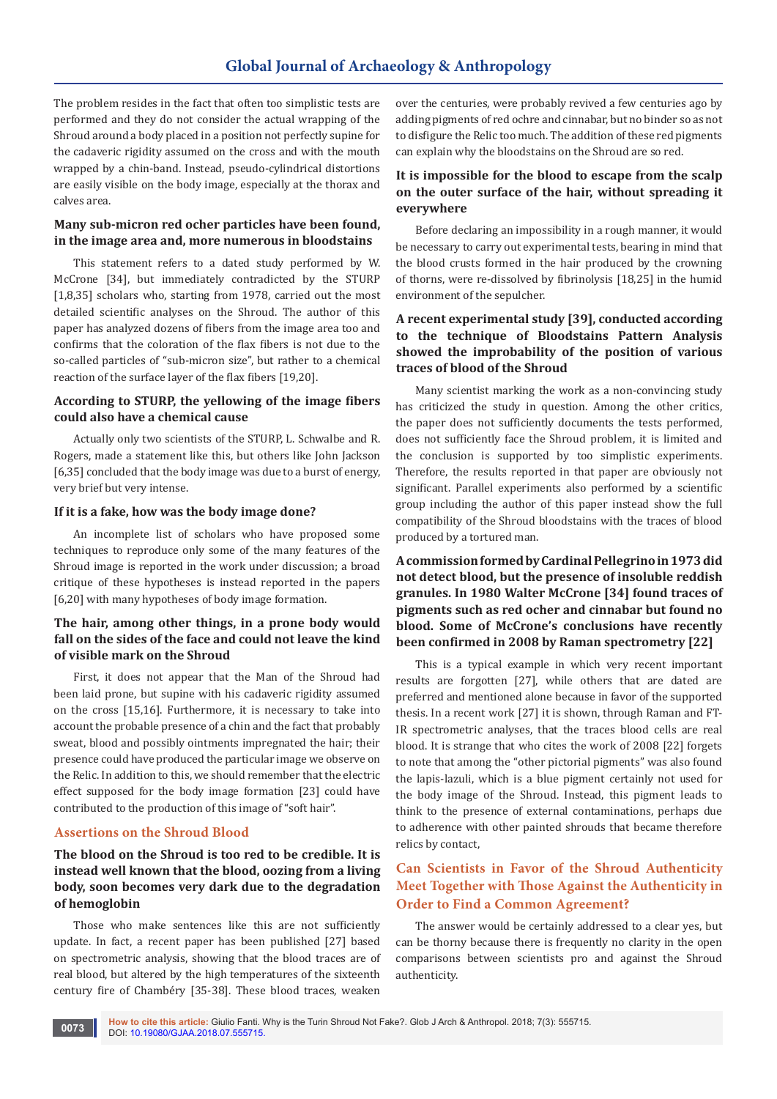# **Global Journal of Archaeology & Anthropology**

The problem resides in the fact that often too simplistic tests are performed and they do not consider the actual wrapping of the Shroud around a body placed in a position not perfectly supine for the cadaveric rigidity assumed on the cross and with the mouth wrapped by a chin-band. Instead, pseudo-cylindrical distortions are easily visible on the body image, especially at the thorax and calves area.

# **Many sub-micron red ocher particles have been found, in the image area and, more numerous in bloodstains**

This statement refers to a dated study performed by W. McCrone [34], but immediately contradicted by the STURP [1,8,35] scholars who, starting from 1978, carried out the most detailed scientific analyses on the Shroud. The author of this paper has analyzed dozens of fibers from the image area too and confirms that the coloration of the flax fibers is not due to the so-called particles of "sub-micron size", but rather to a chemical reaction of the surface layer of the flax fibers [19,20].

# **According to STURP, the yellowing of the image fibers could also have a chemical cause**

Actually only two scientists of the STURP, L. Schwalbe and R. Rogers, made a statement like this, but others like John Jackson [6,35] concluded that the body image was due to a burst of energy, very brief but very intense.

### **If it is a fake, how was the body image done?**

An incomplete list of scholars who have proposed some techniques to reproduce only some of the many features of the Shroud image is reported in the work under discussion; a broad critique of these hypotheses is instead reported in the papers [6,20] with many hypotheses of body image formation.

# **The hair, among other things, in a prone body would fall on the sides of the face and could not leave the kind of visible mark on the Shroud**

First, it does not appear that the Man of the Shroud had been laid prone, but supine with his cadaveric rigidity assumed on the cross [15,16]. Furthermore, it is necessary to take into account the probable presence of a chin and the fact that probably sweat, blood and possibly ointments impregnated the hair; their presence could have produced the particular image we observe on the Relic. In addition to this, we should remember that the electric effect supposed for the body image formation [23] could have contributed to the production of this image of "soft hair".

### **Assertions on the Shroud Blood**

# **The blood on the Shroud is too red to be credible. It is instead well known that the blood, oozing from a living body, soon becomes very dark due to the degradation of hemoglobin**

Those who make sentences like this are not sufficiently update. In fact, a recent paper has been published [27] based on spectrometric analysis, showing that the blood traces are of real blood, but altered by the high temperatures of the sixteenth century fire of Chambéry [35-38]. These blood traces, weaken

over the centuries, were probably revived a few centuries ago by adding pigments of red ochre and cinnabar, but no binder so as not to disfigure the Relic too much. The addition of these red pigments can explain why the bloodstains on the Shroud are so red.

# **It is impossible for the blood to escape from the scalp on the outer surface of the hair, without spreading it everywhere**

Before declaring an impossibility in a rough manner, it would be necessary to carry out experimental tests, bearing in mind that the blood crusts formed in the hair produced by the crowning of thorns, were re-dissolved by fibrinolysis [18,25] in the humid environment of the sepulcher.

# **A recent experimental study [39], conducted according to the technique of Bloodstains Pattern Analysis showed the improbability of the position of various traces of blood of the Shroud**

Many scientist marking the work as a non-convincing study has criticized the study in question. Among the other critics, the paper does not sufficiently documents the tests performed, does not sufficiently face the Shroud problem, it is limited and the conclusion is supported by too simplistic experiments. Therefore, the results reported in that paper are obviously not significant. Parallel experiments also performed by a scientific group including the author of this paper instead show the full compatibility of the Shroud bloodstains with the traces of blood produced by a tortured man.

**A commission formed by Cardinal Pellegrino in 1973 did not detect blood, but the presence of insoluble reddish granules. In 1980 Walter McCrone [34] found traces of pigments such as red ocher and cinnabar but found no blood. Some of McCrone's conclusions have recently been confirmed in 2008 by Raman spectrometry [22]**

This is a typical example in which very recent important results are forgotten [27], while others that are dated are preferred and mentioned alone because in favor of the supported thesis. In a recent work [27] it is shown, through Raman and FT-IR spectrometric analyses, that the traces blood cells are real blood. It is strange that who cites the work of 2008 [22] forgets to note that among the "other pictorial pigments" was also found the lapis-lazuli, which is a blue pigment certainly not used for the body image of the Shroud. Instead, this pigment leads to think to the presence of external contaminations, perhaps due to adherence with other painted shrouds that became therefore relics by contact,

# **Can Scientists in Favor of the Shroud Authenticity Meet Together with Those Against the Authenticity in Order to Find a Common Agreement?**

The answer would be certainly addressed to a clear yes, but can be thorny because there is frequently no clarity in the open comparisons between scientists pro and against the Shroud authenticity.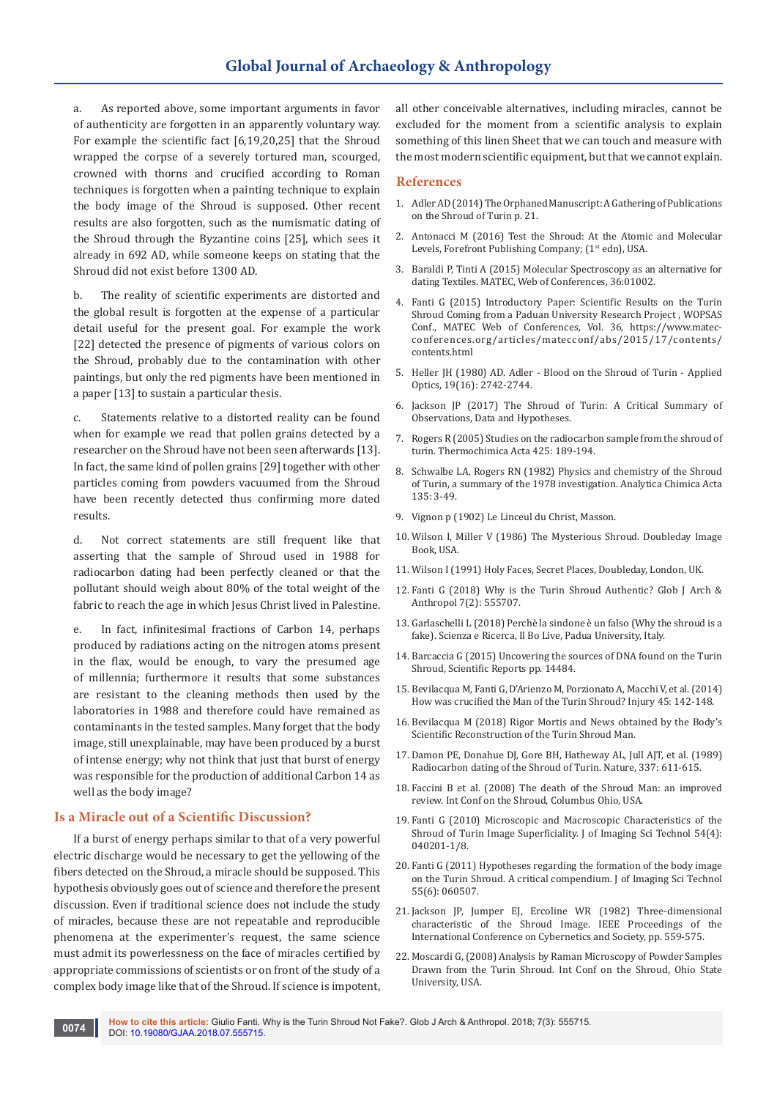As reported above, some important arguments in favor of authenticity are forgotten in an apparently voluntary way. For example the scientific fact [6,19,20,25] that the Shroud wrapped the corpse of a severely tortured man, scourged, crowned with thorns and crucified according to Roman techniques is forgotten when a painting technique to explain the body image of the Shroud is supposed. Other recent results are also forgotten, such as the numismatic dating of the Shroud through the Byzantine coins [25], which sees it already in 692 AD, while someone keeps on stating that the Shroud did not exist before 1300 AD.

b. The reality of scientific experiments are distorted and the global result is forgotten at the expense of a particular detail useful for the present goal. For example the work [22] detected the presence of pigments of various colors on the Shroud, probably due to the contamination with other paintings, but only the red pigments have been mentioned in a paper [13] to sustain a particular thesis.

c. Statements relative to a distorted reality can be found when for example we read that pollen grains detected by a researcher on the Shroud have not been seen afterwards [13]. In fact, the same kind of pollen grains [29] together with other particles coming from powders vacuumed from the Shroud have been recently detected thus confirming more dated results.

d. Not correct statements are still frequent like that asserting that the sample of Shroud used in 1988 for radiocarbon dating had been perfectly cleaned or that the pollutant should weigh about 80% of the total weight of the fabric to reach the age in which Jesus Christ lived in Palestine.

e. In fact, infinitesimal fractions of Carbon 14, perhaps produced by radiations acting on the nitrogen atoms present in the flax, would be enough, to vary the presumed age of millennia; furthermore it results that some substances are resistant to the cleaning methods then used by the laboratories in 1988 and therefore could have remained as contaminants in the tested samples. Many forget that the body image, still unexplainable, may have been produced by a burst of intense energy; why not think that just that burst of energy was responsible for the production of additional Carbon 14 as well as the body image?

### **Is a Miracle out of a Scientific Discussion?**

If a burst of energy perhaps similar to that of a very powerful electric discharge would be necessary to get the yellowing of the fibers detected on the Shroud, a miracle should be supposed. This hypothesis obviously goes out of science and therefore the present discussion. Even if traditional science does not include the study of miracles, because these are not repeatable and reproducible phenomena at the experimenter's request, the same science must admit its powerlessness on the face of miracles certified by appropriate commissions of scientists or on front of the study of a complex body image like that of the Shroud. If science is impotent,

all other conceivable alternatives, including miracles, cannot be excluded for the moment from a scientific analysis to explain something of this linen Sheet that we can touch and measure with the most modern scientific equipment, but that we cannot explain.

### **References**

- 1. Adler AD (2014) The Orphaned Manuscript: A Gathering of Publications on the Shroud of Turin p. 21.
- 2. Antonacci M (2016) Test the Shroud: At the Atomic and Molecular Levels, Forefront Publishing Company; (1st edn), USA.
- 3. [Baraldi P, Tinti A \(2015\) Molecular Spectroscopy as an alternative for](https://www.matec-conferences.org/articles/matecconf/abs/2015/17/matecconf_wopsas2015_01002/matecconf_wopsas2015_01002.html)  [dating Textiles. MATEC, Web of Conferences, 36:01002.](https://www.matec-conferences.org/articles/matecconf/abs/2015/17/matecconf_wopsas2015_01002/matecconf_wopsas2015_01002.html)
- 4. Fanti G (2015) Introductory Paper: Scientific Results on the Turin Shroud Coming from a Paduan University Research Project , WOPSAS Conf., MATEC Web of Conferences, Vol. 36, https://www.matecconferences.org/articles/matecconf/abs/2015/17/contents/ contents.html
- 5. Heller JH (1980) AD. Adler Blood on the Shroud of Turin Applied Optics, 19(16): 2742-2744.
- 6. Jackson JP (2017) The Shroud of Turin: A Critical Summary of Observations, Data and Hypotheses.
- 7. [Rogers R \(2005\) Studies on the radiocarbon sample from the shroud of](https://www.sciencedirect.com/science/article/abs/pii/S0040603104004745)  [turin. Thermochimica Acta 425: 189-194.](https://www.sciencedirect.com/science/article/abs/pii/S0040603104004745)
- 8. [Schwalbe LA, Rogers RN \(1982\) Physics and chemistry of the Shroud](https://www.sciencedirect.com/science/article/pii/S0003267001852636)  [of Turin, a summary of the 1978 investigation. Analytica Chimica Acta](https://www.sciencedirect.com/science/article/pii/S0003267001852636)  [135: 3-49.](https://www.sciencedirect.com/science/article/pii/S0003267001852636)
- 9. Vignon p (1902) Le Linceul du Christ, Masson.
- 10. Wilson I, Miller V (1986) The Mysterious Shroud. Doubleday Image Book, USA.
- 11. Wilson I (1991) Holy Faces, Secret Places, Doubleday, London, UK.
- 12. [Fanti G \(2018\) Why is the Turin Shroud Authentic? Glob J Arch &](https://juniperpublishers.com/gjaa/pdf/GJAA.MS.ID.555707.pdf)  [Anthropol 7\(2\): 555707.](https://juniperpublishers.com/gjaa/pdf/GJAA.MS.ID.555707.pdf)
- 13. Garlaschelli L (2018) Perchè la sindone è un falso (Why the shroud is a fake). Scienza e Ricerca, Il Bo Live, Padua University, Italy.
- 14. [Barcaccia G \(2015\) Uncovering the sources of DNA found on the Turin](https://www.nature.com/articles/srep14484)  [Shroud, Scientific Reports pp. 14484.](https://www.nature.com/articles/srep14484)
- 15. Bevilacqua M, Fanti G, D'Arienzo M, Porzionato A, Macchi V, et al. (2014) How was crucified the Man of the Turin Shroud? Injury 45: 142-148.
- 16. [Bevilacqua M \(2018\) Rigor Mortis and News obtained by the Body's](https://www.peertechz.com/articles/rigor-mortis-and-news-obtained-by-the-body-s-scientific-reconstruction-of-the-turin-shroud-man.pdf)  [Scientific Reconstruction of the Turin Shroud Man.](https://www.peertechz.com/articles/rigor-mortis-and-news-obtained-by-the-body-s-scientific-reconstruction-of-the-turin-shroud-man.pdf)
- 17. Damon PE, Donahue DJ, Gore BH, Hatheway AL, Jull AJT, et al. (1989) Radiocarbon dating of the Shroud of Turin. Nature, 337: 611-615.
- 18. Faccini B et al. (2008) The death of the Shroud Man: an improved review. Int Conf on the Shroud, Columbus Ohio, USA.
- 19. Fanti G (2010) Microscopic and Macroscopic Characteristics of the Shroud of Turin Image Superficiality. J of Imaging Sci Technol 54(4): 040201-1/8.
- 20. Fanti G (2011) Hypotheses regarding the formation of the body image on the Turin Shroud. A critical compendium. J of Imaging Sci Technol 55(6): 060507.
- 21. Jackson JP, Jumper EJ, Ercoline WR (1982) Three-dimensional characteristic of the Shroud Image. IEEE Proceedings of the International Conference on Cybernetics and Society, pp. 559-575.
- 22. Moscardi G, (2008) Analysis by Raman Microscopy of Powder Samples Drawn from the Turin Shroud. Int Conf on the Shroud, Ohio State University, USA.